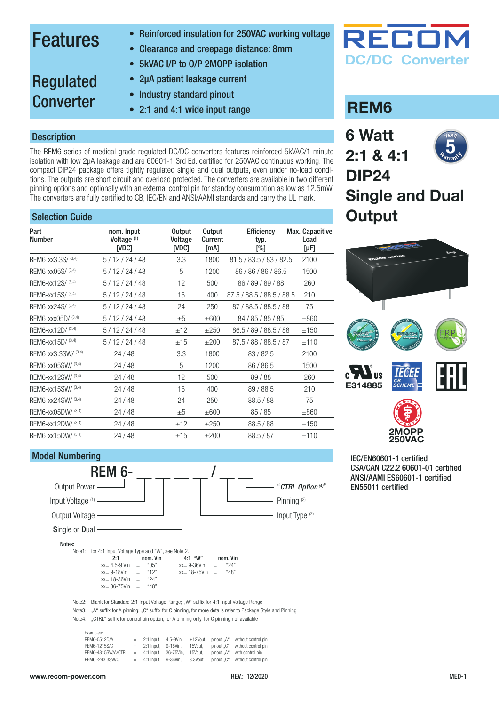### Features

- Reinforced insulation for 250VAC working voltage
- Clearance and creepage distance: 8mm
- 5kVAC I/P to O/P 2MOPP isolation
- 2µA patient leakage current
- Regulated **Converter**
- Industry standard pinout
- 2:1 and 4:1 wide input range

#### **Description**

The REM6 series of medical grade regulated DC/DC converters features reinforced 5kVAC/1 minute isolation with low 2µA leakage and are 60601-1 3rd Ed. certified for 250VAC continuous working. The compact DIP24 package offers tightly regulated single and dual outputs, even under no-load conditions. The outputs are short circuit and overload protected. The converters are available in two different pinning options and optionally with an external control pin for standby consumption as low as 12.5mW. The converters are fully certified to CB, IEC/EN and ANSI/AAMI standards and carry the UL mark.

#### Selection Guide

| Part<br><b>Number</b> | nom. Input<br>Voltage <sup>(1)</sup><br>ivdci | <b>Output</b><br>Voltage<br><b>IVDC1</b> | <b>Output</b><br>Current<br>[mA] | <b>Efficiency</b><br>typ.<br>[%] | Max. Capacitive<br>Load<br>$[\mu F]$ |
|-----------------------|-----------------------------------------------|------------------------------------------|----------------------------------|----------------------------------|--------------------------------------|
| REM6-xx3.3S/ (3,4)    | 5/12/24/48                                    | 3.3                                      | 1800                             | 81.5 / 83.5 / 83 / 82.5          | 2100                                 |
| REM6-xx05S/ (3,4)     | 5/12/24/48                                    | 5                                        | 1200                             | 86 / 86 / 86 / 86.5              | 1500                                 |
| REM6-xx12S/ (3,4)     | 5/12/24/48                                    | 12                                       | 500                              | 86/89/89/88                      | 260                                  |
| REM6-xx15S/(3,4)      | 5/12/24/48                                    | 15                                       | 400                              | 87.5 / 88.5 / 88.5 / 88.5        | 210                                  |
| REM6-xx24S/ (3,4)     | 5/12/24/48                                    | 24                                       | 250                              | 87 / 88.5 / 88.5 / 88            | 75                                   |
| REM6-xxx05D/ (3,4)    | 5/12/24/48                                    | ±5                                       | $\pm 600$                        | 84 / 85 / 85 / 85                | $\pm 860$                            |
| REM6-xx12D/ (3,4)     | 5/12/24/48                                    | ±12                                      | $\pm 250$                        | 86.5 / 89 / 88.5 / 88            | ±150                                 |
| REM6-xx15D/ (3,4)     | 5/12/24/48                                    | ±15                                      | ±200                             | 87.5 / 88 / 88.5 / 87            | ±110                                 |
| REM6-xx3.3SW/ (3,4)   | 24/48                                         | 3.3                                      | 1800                             | 83/82.5                          | 2100                                 |
| REM6-xx05SW/ (3,4)    | 24/48                                         | 5                                        | 1200                             | 86 / 86.5                        | 1500                                 |
| REM6-xx12SW/ (3,4)    | 24 / 48                                       | 12                                       | 500                              | 89/88                            | 260                                  |
| REM6-xx15SW/ (3,4)    | 24/48                                         | 15                                       | 400                              | 89/88.5                          | 210                                  |
| REM6-xx24SW/ (3,4)    | 24/48                                         | 24                                       | 250                              | 88.5 / 88                        | 75                                   |
| REM6-xx05DW/ (3,4)    | 24/48                                         | ±5                                       | $\pm 600$                        | 85/85                            | $\pm 860$                            |
| REM6-xx12DW/ (3,4)    | 24/48                                         | ±12                                      | ±250                             | 88.5 / 88                        | ±150                                 |
| REM6-xx15DW/ (3,4)    | 24/48                                         | ±15                                      | ±200                             | 88.5/87                          | ±110                                 |

#### Model Numbering "*[CTRL Option \(4\)](#page-5-0)*" Pinning<sup>(3)</sup> Input Type (2) Output Power Input Voltage (1) -Output Voltage Single or Dual -Notes: Note1: for 4:1 Input Voltage Type add "W", see Note 2.<br>2:1 **nom. Vin 2:1** nom. Vin **4:1 "W"** nom. Vin **4:5 and Yunder** 1.1 "W" nom. Vin **4:5 and Yunder** 1.1 "We are 1.24"  $xx= 4.5-9$  Vin = "05"  $xx= 9-36$ Vin = "24"<br> $xx= 9-18$ Vin = "12"  $xx= 18-75$ Vin = "48"  $x = 9-18V$ in = "12"<br> $x = 18-36V$ in = "24" **REM 6-**

Note2: Blank for Standard 2:1 Input Voltage Range; "W" suffix for 4:1 Input Voltage Range

Note3: ...A" suffix for A pinning: ..C" suffix for C pinning, for more details refer to Package Style and Pinning

Note4: "CTRL" suffix for control pin option, for A pinning only, for C pinning not available

 $xx = 18-36V$ in = "24"<br> $xy = 36-75V$ in = "48"  $xx= 36-75$ Vin

| LAUTHULO.          |                          |               |                                 |
|--------------------|--------------------------|---------------|---------------------------------|
| REM6-0512D/A       | $= 2:1$ Input. 4.5-9Vin. | $\pm$ 12Vout. | pinout "A". without control pin |
| REM6-1215S/C       | $=$ 2:1 Input. 9-18Vin.  | 15Vout.       | pinout C". without control pin  |
| REM6-4815SW/A/CTRL | $= 4:1$ Input. 36-75Vin. | 15Vout.       | pinout "A" with control pin     |
| REM6 -243.3SW/C    | $=$ 4:1 Input. 9-36Vin.  | 3.3Vout.      | pinout "C", without control pin |
|                    |                          |               |                                 |

Examples:



### **REM6**

**6 Watt 2:1 & 4:1**



### **DIP24 Single and Dual Output**



IEC/EN60601-1 certified CSA/CAN C22.2 60601-01 certified ANSI/AAMI ES60601-1 certified EN55011 certified

**250VAC**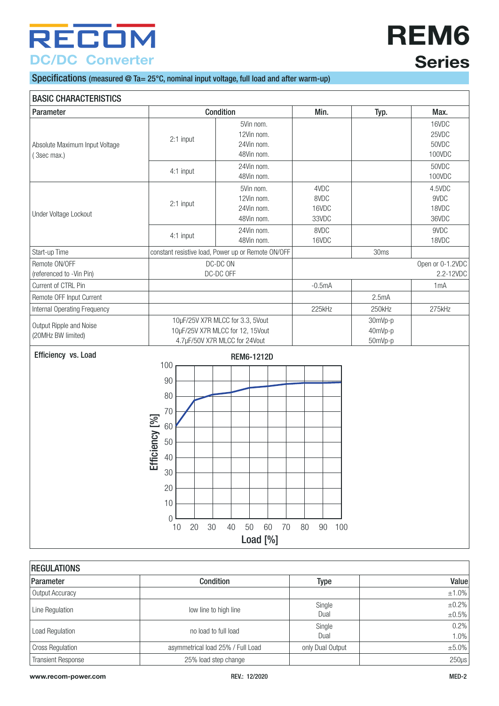# **REM6 Series**

#### Specifications (measured @ Ta= 25°C, nominal input voltage, full load and after warm-up)

| <b>BASIC CHARACTERISTICS</b>                  |                                                                             |                                                                                                       |                                |                               |                                            |
|-----------------------------------------------|-----------------------------------------------------------------------------|-------------------------------------------------------------------------------------------------------|--------------------------------|-------------------------------|--------------------------------------------|
| Parameter                                     |                                                                             | Condition                                                                                             | Min.                           | Typ.                          | Max.                                       |
| Absolute Maximum Input Voltage<br>(3sec max.) | 2:1 input                                                                   | 5Vin nom.<br>12Vin nom.<br>24Vin nom.<br>48Vin nom.<br>24Vin nom.                                     |                                |                               | 16VDC<br>25VDC<br>50VDC<br>100VDC<br>50VDC |
|                                               | 4:1 input                                                                   | 48Vin nom.                                                                                            |                                |                               | 100VDC                                     |
| Under Voltage Lockout                         | 2:1 input                                                                   | 5Vin nom.<br>12Vin nom.<br>24Vin nom.<br>48Vin nom.                                                   | 4VDC<br>8VDC<br>16VDC<br>33VDC |                               | 4.5VDC<br>9VDC<br>18VDC<br>36VDC           |
|                                               | 4:1 input                                                                   | 24Vin nom.                                                                                            | 8VDC                           |                               | 9VDC                                       |
|                                               |                                                                             | 48Vin nom.                                                                                            | 16VDC                          |                               | 18VDC                                      |
| Start-up Time                                 |                                                                             | constant resistive load, Power up or Remote ON/OFF                                                    |                                | 30ms                          |                                            |
| Remote ON/OFF<br>(referenced to -Vin Pin)     |                                                                             | DC-DC ON<br>DC-DC OFF                                                                                 |                                |                               | Open or 0-1.2VDC<br>2.2-12VDC              |
| Current of CTRL Pin                           |                                                                             |                                                                                                       | $-0.5mA$                       |                               | 1 <sub>m</sub> A                           |
| Remote OFF Input Current                      |                                                                             |                                                                                                       |                                | 2.5mA                         |                                            |
| Internal Operating Frequency                  |                                                                             |                                                                                                       | 225kHz                         | 250kHz                        | 275kHz                                     |
| Output Ripple and Noise<br>(20MHz BW limited) |                                                                             | 10µF/25V X7R MLCC for 3.3, 5Vout<br>10µF/25V X7R MLCC for 12, 15Vout<br>4.7µF/50V X7R MLCC for 24Vout |                                | 30mVp-p<br>40mVp-p<br>50mVp-p |                                            |
| Efficiency vs. Load                           |                                                                             | <b>REM6-1212D</b>                                                                                     |                                |                               |                                            |
|                                               | 100<br>90<br>80<br>70<br>Efficiency [%]<br>60<br>50<br>40<br>30<br>20<br>10 |                                                                                                       |                                |                               |                                            |

| <b>REGULATIONS</b>        |                                   |                  |                      |  |  |
|---------------------------|-----------------------------------|------------------|----------------------|--|--|
| Parameter                 | Condition                         | Type             | Value                |  |  |
| Output Accuracy           |                                   |                  | $\pm 1.0\%$          |  |  |
| Line Regulation           | low line to high line             | Single<br>Dual   | ±0.2%<br>$\pm 0.5\%$ |  |  |
| <b>Load Regulation</b>    | no load to full load              | Single<br>Dual   | 0.2%<br>1.0%         |  |  |
| <b>Cross Regulation</b>   | asymmetrical load 25% / Full Load | only Dual Output | ±5.0%                |  |  |
| <b>Transient Response</b> | 25% load step change              |                  | $250\mu s$           |  |  |

10 20 30 40 50 60 70 80 90 100 Load [%]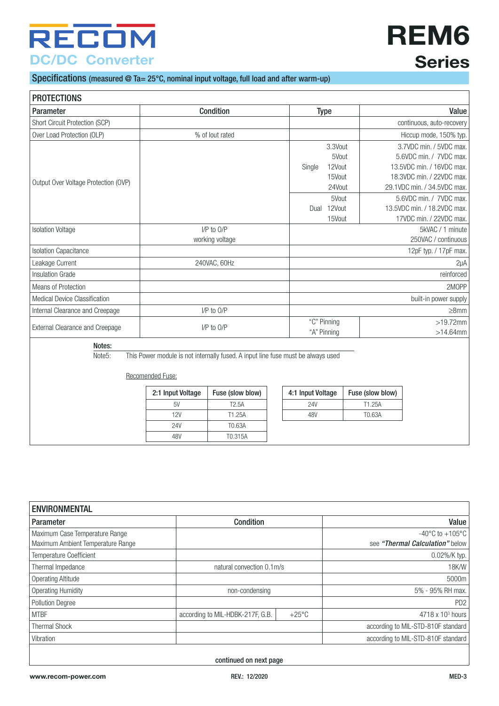# **REM6 Series**

### Specifications (measured @ Ta= 25°C, nominal input voltage, full load and after warm-up)

| <b>PROTECTIONS</b>                     |                                                                                                      |                               |                                                                         |                  |                                                                                                                                                                                                       |
|----------------------------------------|------------------------------------------------------------------------------------------------------|-------------------------------|-------------------------------------------------------------------------|------------------|-------------------------------------------------------------------------------------------------------------------------------------------------------------------------------------------------------|
| Parameter                              |                                                                                                      | <b>Condition</b>              | <b>Type</b>                                                             |                  | Value                                                                                                                                                                                                 |
| Short Circuit Protection (SCP)         |                                                                                                      |                               |                                                                         |                  | continuous, auto-recovery                                                                                                                                                                             |
| Over Load Protection (OLP)             |                                                                                                      | % of lout rated               |                                                                         |                  | Hiccup mode, 150% typ.                                                                                                                                                                                |
| Output Over Voltage Protection (OVP)   |                                                                                                      |                               | 3.3Vout<br>12Vout<br>Single<br>15Vout<br>24Vout<br>5Vout<br>Dual 12Vout | 5Vout            | 3.7VDC min. / 5VDC max.<br>5.6VDC min. / 7VDC max.<br>13.5VDC min. / 16VDC max.<br>18.3VDC min. / 22VDC max.<br>29.1VDC min. / 34.5VDC max.<br>5.6VDC min. / 7VDC max.<br>13.5VDC min. / 18.2VDC max. |
| <b>Isolation Voltage</b>               |                                                                                                      | I/P to O/P<br>working voltage | 15Vout                                                                  |                  | 17VDC min. / 22VDC max.<br>5kVAC / 1 minute<br>250VAC / continuous                                                                                                                                    |
| <b>Isolation Capacitance</b>           |                                                                                                      |                               |                                                                         |                  | 12pF typ. / 17pF max.                                                                                                                                                                                 |
| Leakage Current                        |                                                                                                      | 240VAC, 60Hz                  |                                                                         |                  | $2\mu A$                                                                                                                                                                                              |
| <b>Insulation Grade</b>                |                                                                                                      |                               |                                                                         |                  | reinforced                                                                                                                                                                                            |
| Means of Protection                    |                                                                                                      |                               |                                                                         |                  | 2MOPP                                                                                                                                                                                                 |
| Medical Device Classification          |                                                                                                      |                               |                                                                         |                  | built-in power supply                                                                                                                                                                                 |
| Internal Clearance and Creepage        |                                                                                                      | I/P to O/P                    |                                                                         |                  | $\geq$ 8mm                                                                                                                                                                                            |
| <b>External Clearance and Creepage</b> |                                                                                                      | $I/P$ to $O/P$                | "C" Pinning<br>"A" Pinning                                              |                  | $>19.72$ mm<br>$>14.64$ mm                                                                                                                                                                            |
| Notes:                                 |                                                                                                      |                               |                                                                         |                  |                                                                                                                                                                                                       |
| Note5:                                 | This Power module is not internally fused. A input line fuse must be always used<br>Recomended Fuse: |                               |                                                                         |                  |                                                                                                                                                                                                       |
|                                        | 2:1 Input Voltage                                                                                    | Fuse (slow blow)              | 4:1 Input Voltage                                                       | Fuse (slow blow) |                                                                                                                                                                                                       |
|                                        | 5V                                                                                                   | T <sub>2.5</sub> A            | <b>24V</b>                                                              | T1.25A           |                                                                                                                                                                                                       |
|                                        | 12V                                                                                                  | T1.25A                        | 48V                                                                     | T0.63A           |                                                                                                                                                                                                       |
|                                        | 24V                                                                                                  | T0.63A                        |                                                                         |                  |                                                                                                                                                                                                       |
|                                        | 48V                                                                                                  | T0.315A                       |                                                                         |                  |                                                                                                                                                                                                       |

| <b>ENVIRONMENTAL</b>                                                |                                  |                 |                                                                        |  |  |  |
|---------------------------------------------------------------------|----------------------------------|-----------------|------------------------------------------------------------------------|--|--|--|
| Parameter                                                           | <b>Condition</b>                 |                 | Value                                                                  |  |  |  |
| Maximum Case Temperature Range<br>Maximum Ambient Temperature Range |                                  |                 | $-40^{\circ}$ C to $+105^{\circ}$ C<br>see "Thermal Calculation" below |  |  |  |
| <b>Temperature Coefficient</b>                                      |                                  |                 | $0.02\%$ /K typ.                                                       |  |  |  |
| Thermal Impedance                                                   | natural convection 0.1m/s        |                 | <b>18K/W</b>                                                           |  |  |  |
| Operating Altitude                                                  |                                  |                 | 5000m                                                                  |  |  |  |
| Operating Humidity                                                  | non-condensing                   |                 | 5% - 95% RH max.                                                       |  |  |  |
| <b>Pollution Degree</b>                                             |                                  |                 | PD <sub>2</sub>                                                        |  |  |  |
| <b>MTBF</b>                                                         | according to MIL-HDBK-217F, G.B. | $+25^{\circ}$ C | $4718 \times 103$ hours                                                |  |  |  |
| <b>Thermal Shock</b>                                                |                                  |                 | according to MIL-STD-810F standard                                     |  |  |  |
| Vibration                                                           |                                  |                 | according to MIL-STD-810F standard                                     |  |  |  |
|                                                                     |                                  |                 |                                                                        |  |  |  |

continued on next page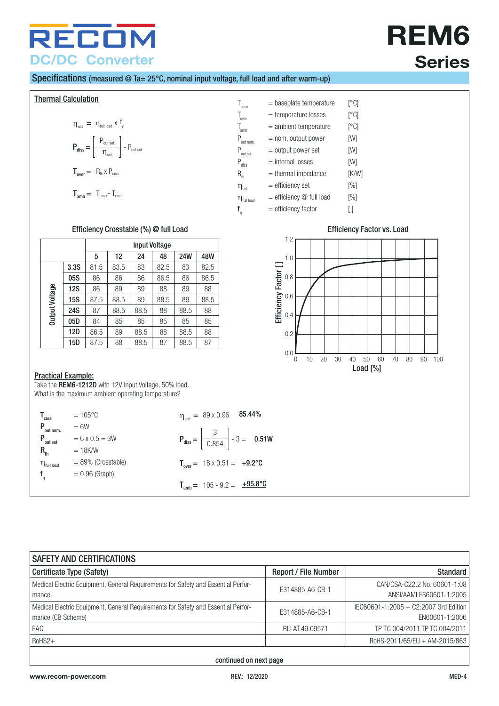# **REM6 Series**

#### Specifications (measured @ Ta= 25°C, nominal input voltage, full load and after warm-up)

<span id="page-3-0"></span>**Thermal Calculation** 

$$
\eta_{\text{set}} = \eta_{\text{full load}} \times f_{\eta}
$$
\n
$$
P_{\text{diss}} = \left[ \frac{P_{\text{out set}}}{\eta_{\text{set}}} \right] - P_{\text{out set}}
$$
\n
$$
T_{\text{over}} = R_{\text{th}} \times P_{\text{diss}}
$$

$$
T_{amb} = T_{case} - T_{over}
$$

 $T_{\text{case}}$  = baseplate temperature  $[°C]$ Tover = temperature losses [°C]  $\begin{array}{lll} \mathsf{T}_{\rm amb} & = \text{ambient temperature} & \mbox{ [^{\circ}C]} \\ \mathsf{P}_{\rm out\, nom.} & = \text{nom.~output~power} & \mbox{ [W]} \end{array}$  $P_{\text{out nom.}}$  = nom. output power [W]<br>  $P_{\text{out post}}$  = output power set [W]  $P_{\text{out set}}$  = output power set [W]<br>  $P_{\text{diss}}$  = internal losses [W]  $P_{\text{diss}}$  = internal losses [W]<br>  $P_{\text{diss}}$  = thermal impedance [K/V  $=$  thermal impedance  $[K/W]$  $\eta_{\text{set}}$  = efficiency set [%]  $\boldsymbol{\eta}_{\text{\tiny full load}} \qquad = \text{efficiency} \oslash \text{\small full load} \qquad \text{\small [%]}$  $=$  efficiency factor  $[$ ]

Efficiency Factor []

Efficiency Factor []

0.0

0.2

0.4

0.6

0.8

1.2

 $f_n$ 

1.0

Load [%]

0 10 20 30 40 50 60 70 80 90 100

#### Efficiency Crosstable (%) @ full Load Efficiency Factor vs. Load

|                |            | <b>Input Voltage</b> |      |      |      |            |      |  |  |
|----------------|------------|----------------------|------|------|------|------------|------|--|--|
|                |            | 5                    | 12   | 24   | 48   | <b>24W</b> | 48W  |  |  |
|                | 3.3S       | 81.5                 | 83.5 | 83   | 82.5 | 83         | 82.5 |  |  |
|                | 05S        | 86                   | 86   | 86   | 86.5 | 86         | 86.5 |  |  |
|                | <b>12S</b> | 86                   | 89   | 89   | 88   | 89         | 88   |  |  |
| Output Voltage | <b>15S</b> | 87.5                 | 88.5 | 89   | 88.5 | 89         | 88.5 |  |  |
|                | <b>24S</b> | 87                   | 88.5 | 88.5 | 88   | 88.5       | 88   |  |  |
|                | 05D        | 84                   | 85   | 85   | 85   | 85         | 85   |  |  |
|                | 12D        | 86.5                 | 89   | 88.5 | 88   | 88.5       | 88   |  |  |
|                | 15D        | 87.5                 | 88   | 88.5 | 87   | 88.5       | 87   |  |  |

#### Practical Example:

Take the REM6-1212D with 12V Input Voltage, 50% load. What is the maximum ambient operating temperature?

| $\mathsf{T}_\text{case}$  | $= 105^{\circ}C$      | $\eta_{\text{set}} = 89 \times 0.96$ 85.44%                    |
|---------------------------|-----------------------|----------------------------------------------------------------|
| $P_{\text{out nom.}}$     | $= 6W$                |                                                                |
| $P_{\text{out set}}$      | $= 6 \times 0.5 = 3W$ | $P_{\text{diss}} = \left  \frac{3}{0.854} \right  - 3 = 0.51W$ |
| $R_{\rm th}$              | $=18$ K/W             |                                                                |
| $\eta_{\text{full load}}$ | $= 89\%$ (Crosstable) | $T_{over} = 18 \times 0.51 = +9.2$ °C                          |
| $f_n$                     | $= 0.96$ (Graph)      |                                                                |
|                           |                       | $T_{amb}$ = 105 - 9.2 = $\pm$ <b>95.8°C</b>                    |

| <b>SAFETY AND CERTIFICATIONS</b>                                                                       |                             |                                                          |  |  |  |
|--------------------------------------------------------------------------------------------------------|-----------------------------|----------------------------------------------------------|--|--|--|
| Certificate Type (Safety)                                                                              | <b>Report / File Number</b> | <b>Standard</b>                                          |  |  |  |
| Medical Electric Equipment, General Requirements for Safety and Essential Perfor-<br>mance             | E314885-A6-CB-1             | CAN/CSA-C22.2 No. 60601-1:08<br>ANSI/AAMI ES60601-1:2005 |  |  |  |
| Medical Electric Equipment, General Requirements for Safety and Essential Perfor-<br>mance (CB Scheme) | E314885-A6-CB-1             | IEC60601-1:2005 + C2:2007 3rd Edition<br>EN60601-1:2006  |  |  |  |
| EAC                                                                                                    | RU-AT.49.09571              | TP TC 004/2011 TP TC 004/2011                            |  |  |  |
| $RoHS2+$                                                                                               |                             | RoHS-2011/65/EU + AM-2015/863                            |  |  |  |

continued on next page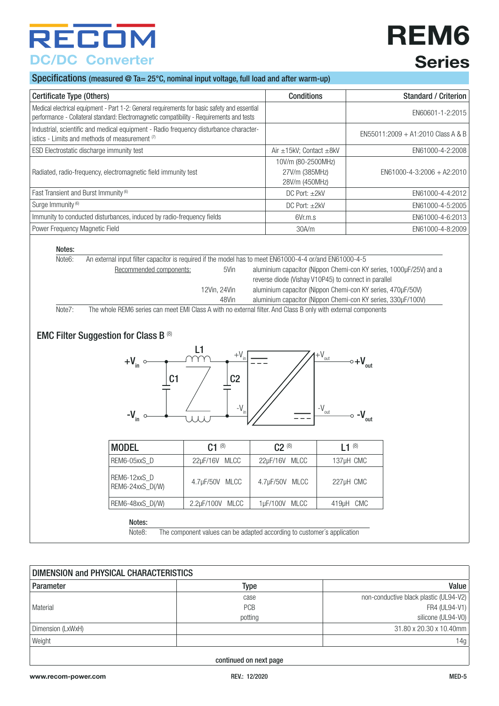## **REM6 Series**

#### Specifications (measured @ Ta= 25°C, nominal input voltage, full load and after warm-up)

| Certificate Type (Others)                                                                                                                                                                 | <b>Conditions</b>                                      | Standard / Criterion               |
|-------------------------------------------------------------------------------------------------------------------------------------------------------------------------------------------|--------------------------------------------------------|------------------------------------|
| Medical electrical equipment - Part 1-2: General requirements for basic safety and essential<br>performance - Collateral standard: Electromagnetic compatibility - Requirements and tests |                                                        | EN60601-1-2:2015                   |
| Industrial, scientific and medical equipment - Radio frequency disturbance character-<br>istics - Limits and methods of measurement (7)                                                   |                                                        | EN55011:2009 + A1:2010 Class A & B |
| ESD Electrostatic discharge immunity test                                                                                                                                                 | Air $\pm$ 15kV; Contact $\pm$ 8kV                      | EN61000-4-2:2008                   |
| Radiated, radio-frequency, electromagnetic field immunity test                                                                                                                            | 10V/m (80-2500MHz)<br>27V/m (385MHz)<br>28V/m (450MHz) | $EN61000 - 4 - 3:2006 + A2:2010$   |
| Fast Transient and Burst Immunity (6)                                                                                                                                                     | DC Port: $\pm 2kV$                                     | EN61000-4-4:2012                   |
| Surge Immunity <sup>(6)</sup>                                                                                                                                                             | DC Port: $\pm$ 2kV                                     | EN61000-4-5:2005                   |
| Immunity to conducted disturbances, induced by radio-frequency fields                                                                                                                     | 6Vr.m.s                                                | EN61000-4-6:2013                   |
| Power Frequency Magnetic Field                                                                                                                                                            | 30A/m                                                  | EN61000-4-8:2009                   |

#### Notes:

| Note <sub>6</sub> : | An external input filter capacitor is required if the model has to meet EN61000-4-4 or/and EN61000-4-5        |              |                                                                    |  |  |
|---------------------|---------------------------------------------------------------------------------------------------------------|--------------|--------------------------------------------------------------------|--|--|
|                     | Recommended components:                                                                                       | 5Vin         | aluminium capacitor (Nippon Chemi-con KY series, 1000µF/25V) and a |  |  |
|                     |                                                                                                               |              | reverse diode (Vishay V10P45) to connect in parallel               |  |  |
|                     |                                                                                                               | 12Vin. 24Vin | aluminium capacitor (Nippon Chemi-con KY series, 470uF/50V)        |  |  |
|                     |                                                                                                               | 48Vin        | aluminium capacitor (Nippon Chemi-con KY series, 330µF/100V)       |  |  |
| Note7:              | The whole REM6 series can meet EMI Class A with no external filter. And Class B only with external components |              |                                                                    |  |  |

### EMC Filter Suggestion for Class B  $^{\scriptscriptstyle{(8)}}$



| <b>MODEL</b>                     | $C1^{(8)}$      | $C2^{(8)}$     | $11^{(8)}$ |
|----------------------------------|-----------------|----------------|------------|
| REM6-05xxS D                     | 22µF/16V MLCC   | 22µF/16V MLCC  | 137µH CMC  |
| REM6-12xxS D<br>REM6-24xxS D(/W) | 4.7µF/50V MLCC  | 4.7µF/50V MLCC | 227µH CMC  |
| REM6-48xxS D(/W)                 | 2.2uF/100V MLCC | 1µF/100V MLCC  | 419µH CMC  |
|                                  |                 |                |            |

Notes:

Note8: The component values can be adapted according to customer´s application

| DIMENSION and PHYSICAL CHARACTERISTICS |         |                                        |  |  |
|----------------------------------------|---------|----------------------------------------|--|--|
| Parameter                              | Type    | Value                                  |  |  |
|                                        | case    | non-conductive black plastic (UL94-V2) |  |  |
| Material                               | PCB     | FR4 (UL94-V1)                          |  |  |
|                                        | potting | silicone (UL94-V0)                     |  |  |
| Dimension (LxWxH)                      |         | 31.80 x 20.30 x 10.40mm                |  |  |
| Weight                                 |         | 14g                                    |  |  |
|                                        |         |                                        |  |  |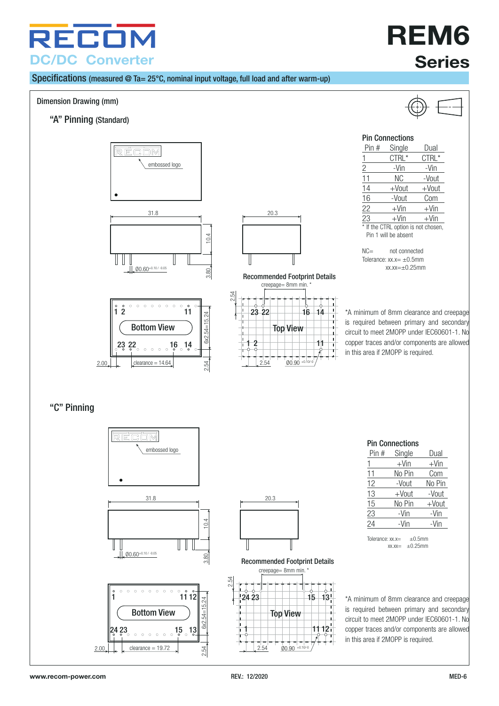

#### Specifications (measured @ Ta= 25°C, nominal input voltage, full load and after warm-up)

#### Dimension Drawing (mm)

"A" Pinning (Standard)









#### creepage= 8mm min. Recommended Footprint Details





**Series**

**REM6**

#### <span id="page-5-0"></span>Pin Connections

| Pin #                               | Single  | Dual     |  |
|-------------------------------------|---------|----------|--|
|                                     | CTRL*   | CTRL*    |  |
| 2                                   | -Vin    | -Vin     |  |
| 11                                  | ΝC      | -Vout    |  |
| 14                                  | +Vout   | $+$ Vout |  |
| 16                                  | -Vout   | Com      |  |
| 22                                  | $+V$ in | $+V$ in  |  |
| 23                                  | $+V$ in | $+V$ in  |  |
| * If the CTRL option is not chosen, |         |          |  |

Pin 1 will be absent

NC= not connected Tolerance:  $xx.x = \pm 0.5$ mm  $xx.xx=+0.25mm$ 

\*A minimum of 8mm clearance and creepage is required between primary and secondary circuit to meet 2MOPP under IEC60601-1. No copper traces and/or components are allowed in this area if 2MOPP is required.

#### "C" Pinning